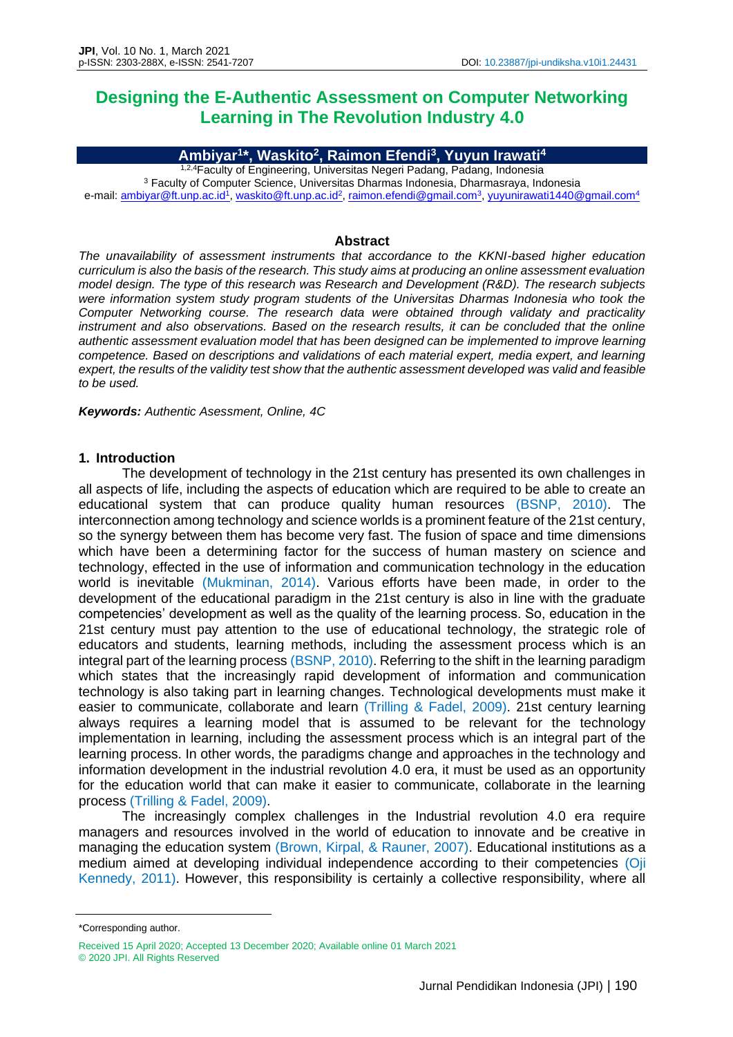# **Designing the E-Authentic Assessment on Computer Networking Learning in The Revolution Industry 4.0**

## **Ambiyar<sup>1</sup> \*, Waskito<sup>2</sup> , Raimon Efendi<sup>3</sup> , Yuyun Irawati<sup>4</sup>**

1,2,4Faculty of Engineering, Universitas Negeri Padang, Padang, Indonesia <sup>3</sup> Faculty of Computer Science, Universitas Dharmas Indonesia, Dharmasraya, Indonesia e-mail: <u>ambiyar@ft.unp.ac.id<sup>1</sup>[, waskito@ft.unp.ac.id](mailto:waskito@ft.unp.ac.id)<sup>2</sup>, [raimon.efendi@gmail.com](mailto:raimon.efendi@gmail.com)<sup>3</sup>, <u>yuyunirawati1440@gmail.com</u>4</u>

#### **Abstract**

*The unavailability of assessment instruments that accordance to the KKNI-based higher education curriculum is also the basis of the research. This study aims at producing an online assessment evaluation model design. The type of this research was Research and Development (R&D). The research subjects were information system study program students of the Universitas Dharmas Indonesia who took the Computer Networking course. The research data were obtained through validaty and practicality instrument and also observations. Based on the research results, it can be concluded that the online authentic assessment evaluation model that has been designed can be implemented to improve learning competence. Based on descriptions and validations of each material expert, media expert, and learning expert, the results of the validity test show that the authentic assessment developed was valid and feasible to be used.*

*Keywords: Authentic Asessment, Online, 4C*

## **1. Introduction**

The development of technology in the 21st century has presented its own challenges in all aspects of life, including the aspects of education which are required to be able to create an educational system that can produce quality human resources (BSNP, 2010). The interconnection among technology and science worlds is a prominent feature of the 21st century, so the synergy between them has become very fast. The fusion of space and time dimensions which have been a determining factor for the success of human mastery on science and technology, effected in the use of information and communication technology in the education world is inevitable (Mukminan, 2014). Various efforts have been made, in order to the development of the educational paradigm in the 21st century is also in line with the graduate competencies' development as well as the quality of the learning process. So, education in the 21st century must pay attention to the use of educational technology, the strategic role of educators and students, learning methods, including the assessment process which is an integral part of the learning process (BSNP, 2010). Referring to the shift in the learning paradigm which states that the increasingly rapid development of information and communication technology is also taking part in learning changes. Technological developments must make it easier to communicate, collaborate and learn (Trilling & Fadel, 2009). 21st century learning always requires a learning model that is assumed to be relevant for the technology implementation in learning, including the assessment process which is an integral part of the learning process. In other words, the paradigms change and approaches in the technology and information development in the industrial revolution 4.0 era, it must be used as an opportunity for the education world that can make it easier to communicate, collaborate in the learning process (Trilling & Fadel, 2009).

The increasingly complex challenges in the Industrial revolution 4.0 era require managers and resources involved in the world of education to innovate and be creative in managing the education system (Brown, Kirpal, & Rauner, 2007). Educational institutions as a medium aimed at developing individual independence according to their competencies (Oji Kennedy, 2011). However, this responsibility is certainly a collective responsibility, where all

<sup>\*</sup>Corresponding author.

Received 15 April 2020; Accepted 13 December 2020; Available online 01 March 2021

<sup>© 2020</sup> JPI. All Rights Reserved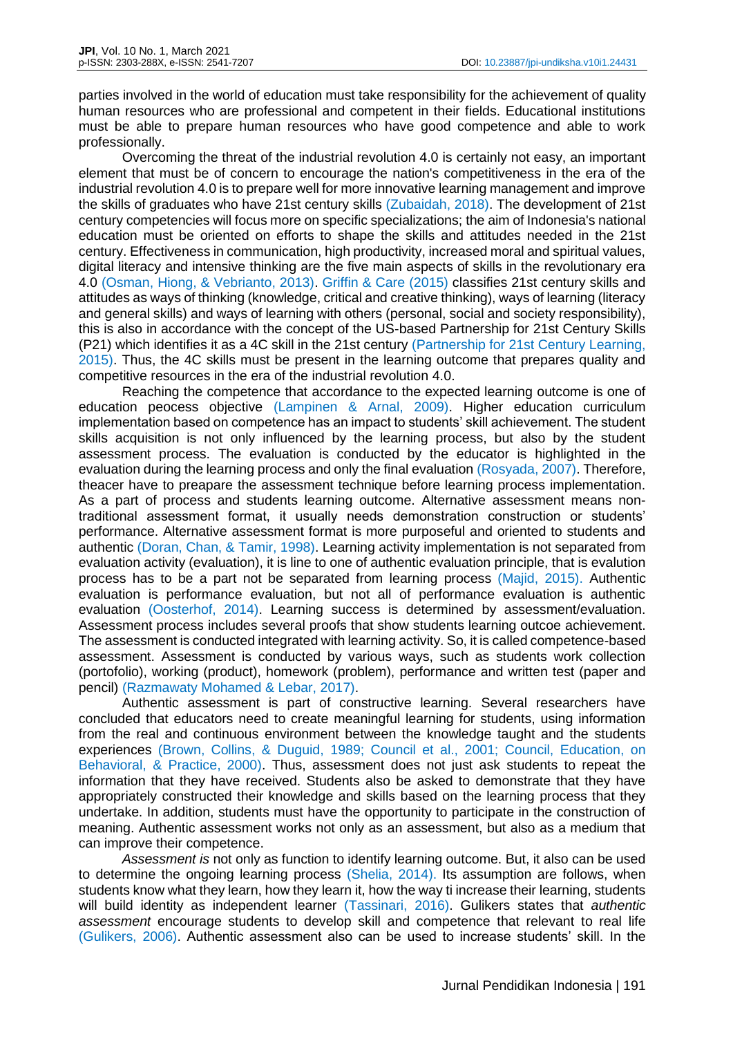parties involved in the world of education must take responsibility for the achievement of quality human resources who are professional and competent in their fields. Educational institutions must be able to prepare human resources who have good competence and able to work professionally.

Overcoming the threat of the industrial revolution 4.0 is certainly not easy, an important element that must be of concern to encourage the nation's competitiveness in the era of the industrial revolution 4.0 is to prepare well for more innovative learning management and improve the skills of graduates who have 21st century skills (Zubaidah, 2018). The development of 21st century competencies will focus more on specific specializations; the aim of Indonesia's national education must be oriented on efforts to shape the skills and attitudes needed in the 21st century. Effectiveness in communication, high productivity, increased moral and spiritual values, digital literacy and intensive thinking are the five main aspects of skills in the revolutionary era 4.0 (Osman, Hiong, & Vebrianto, 2013). Griffin & Care (2015) classifies 21st century skills and attitudes as ways of thinking (knowledge, critical and creative thinking), ways of learning (literacy and general skills) and ways of learning with others (personal, social and society responsibility), this is also in accordance with the concept of the US-based Partnership for 21st Century Skills (P21) which identifies it as a 4C skill in the 21st century (Partnership for 21st Century Learning, 2015). Thus, the 4C skills must be present in the learning outcome that prepares quality and competitive resources in the era of the industrial revolution 4.0.

Reaching the competence that accordance to the expected learning outcome is one of education peocess objective (Lampinen & Arnal, 2009). Higher education curriculum implementation based on competence has an impact to students' skill achievement. The student skills acquisition is not only influenced by the learning process, but also by the student assessment process. The evaluation is conducted by the educator is highlighted in the evaluation during the learning process and only the final evaluation (Rosyada, 2007). Therefore, theacer have to preapare the assessment technique before learning process implementation. As a part of process and students learning outcome. Alternative assessment means nontraditional assessment format, it usually needs demonstration construction or students' performance. Alternative assessment format is more purposeful and oriented to students and authentic (Doran, Chan, & Tamir, 1998). Learning activity implementation is not separated from evaluation activity (evaluation), it is line to one of authentic evaluation principle, that is evalution process has to be a part not be separated from learning process (Majid, 2015). Authentic evaluation is performance evaluation, but not all of performance evaluation is authentic evaluation (Oosterhof, 2014). Learning success is determined by assessment/evaluation. Assessment process includes several proofs that show students learning outcoe achievement. The assessment is conducted integrated with learning activity. So, it is called competence-based assessment. Assessment is conducted by various ways, such as students work collection (portofolio), working (product), homework (problem), performance and written test (paper and pencil) (Razmawaty Mohamed & Lebar, 2017).

Authentic assessment is part of constructive learning. Several researchers have concluded that educators need to create meaningful learning for students, using information from the real and continuous environment between the knowledge taught and the students experiences (Brown, Collins, & Duguid, 1989; Council et al., 2001; Council, Education, on Behavioral, & Practice, 2000). Thus, assessment does not just ask students to repeat the information that they have received. Students also be asked to demonstrate that they have appropriately constructed their knowledge and skills based on the learning process that they undertake. In addition, students must have the opportunity to participate in the construction of meaning. Authentic assessment works not only as an assessment, but also as a medium that can improve their competence.

*Assessment is* not only as function to identify learning outcome. But, it also can be used to determine the ongoing learning process (Shelia, 2014). Its assumption are follows, when students know what they learn, how they learn it, how the way ti increase their learning, students will build identity as independent learner (Tassinari, 2016). Gulikers states that *authentic assessment* encourage students to develop skill and competence that relevant to real life (Gulikers, 2006). Authentic assessment also can be used to increase students' skill. In the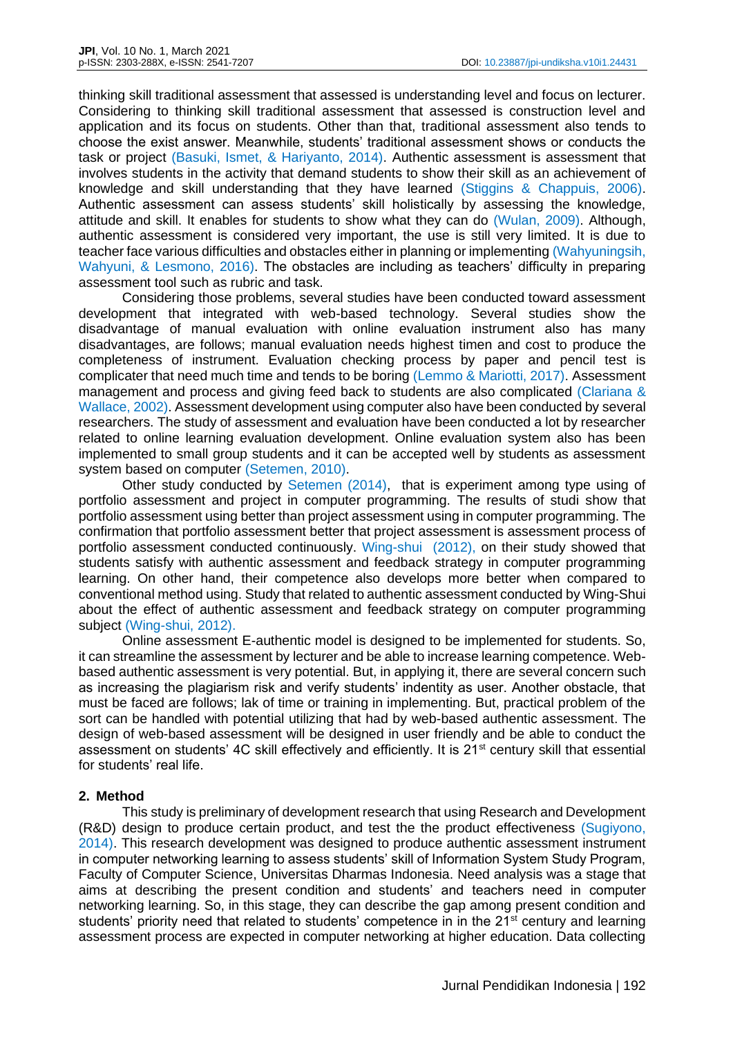thinking skill traditional assessment that assessed is understanding level and focus on lecturer. Considering to thinking skill traditional assessment that assessed is construction level and application and its focus on students. Other than that, traditional assessment also tends to choose the exist answer. Meanwhile, students' traditional assessment shows or conducts the task or project (Basuki, Ismet, & Hariyanto, 2014). Authentic assessment is assessment that involves students in the activity that demand students to show their skill as an achievement of knowledge and skill understanding that they have learned (Stiggins & Chappuis, 2006). Authentic assessment can assess students' skill holistically by assessing the knowledge, attitude and skill. It enables for students to show what they can do (Wulan, 2009). Although, authentic assessment is considered very important, the use is still very limited. It is due to teacher face various difficulties and obstacles either in planning or implementing (Wahyuningsih, Wahyuni, & Lesmono, 2016). The obstacles are including as teachers' difficulty in preparing assessment tool such as rubric and task.

Considering those problems, several studies have been conducted toward assessment development that integrated with web-based technology. Several studies show the disadvantage of manual evaluation with online evaluation instrument also has many disadvantages, are follows; manual evaluation needs highest timen and cost to produce the completeness of instrument. Evaluation checking process by paper and pencil test is complicater that need much time and tends to be boring (Lemmo & Mariotti, 2017). Assessment management and process and giving feed back to students are also complicated (Clariana & Wallace, 2002). Assessment development using computer also have been conducted by several researchers. The study of assessment and evaluation have been conducted a lot by researcher related to online learning evaluation development. Online evaluation system also has been implemented to small group students and it can be accepted well by students as assessment system based on computer (Setemen, 2010).

Other study conducted by Setemen (2014), that is experiment among type using of portfolio assessment and project in computer programming. The results of studi show that portfolio assessment using better than project assessment using in computer programming. The confirmation that portfolio assessment better that project assessment is assessment process of portfolio assessment conducted continuously. Wing-shui (2012), on their study showed that students satisfy with authentic assessment and feedback strategy in computer programming learning. On other hand, their competence also develops more better when compared to conventional method using. Study that related to authentic assessment conducted by Wing-Shui about the effect of authentic assessment and feedback strategy on computer programming subject (Wing-shui, 2012).

Online assessment E-authentic model is designed to be implemented for students. So, it can streamline the assessment by lecturer and be able to increase learning competence. Webbased authentic assessment is very potential. But, in applying it, there are several concern such as increasing the plagiarism risk and verify students' indentity as user. Another obstacle, that must be faced are follows; lak of time or training in implementing. But, practical problem of the sort can be handled with potential utilizing that had by web-based authentic assessment. The design of web-based assessment will be designed in user friendly and be able to conduct the assessment on students' 4C skill effectively and efficiently. It is 21<sup>st</sup> century skill that essential for students' real life.

## **2. Method**

This study is preliminary of development research that using Research and Development (R&D) design to produce certain product, and test the the product effectiveness (Sugiyono, 2014). This research development was designed to produce authentic assessment instrument in computer networking learning to assess students' skill of Information System Study Program, Faculty of Computer Science, Universitas Dharmas Indonesia. Need analysis was a stage that aims at describing the present condition and students' and teachers need in computer networking learning. So, in this stage, they can describe the gap among present condition and students' priority need that related to students' competence in in the 21<sup>st</sup> century and learning assessment process are expected in computer networking at higher education. Data collecting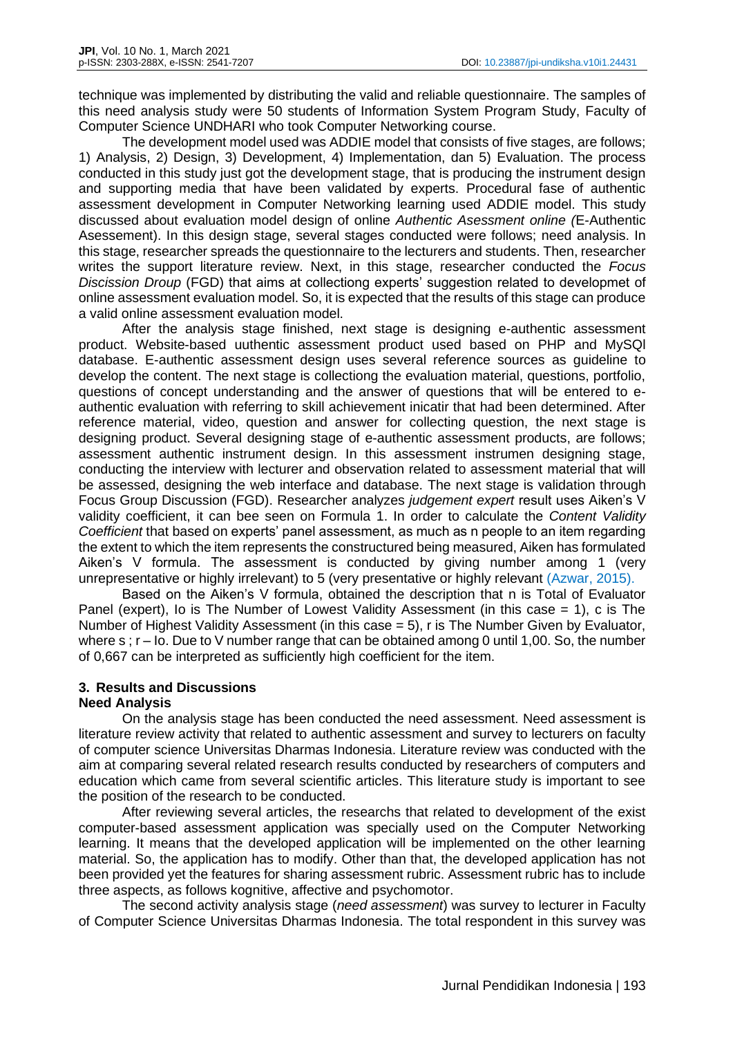technique was implemented by distributing the valid and reliable questionnaire. The samples of this need analysis study were 50 students of Information System Program Study, Faculty of Computer Science UNDHARI who took Computer Networking course.

The development model used was ADDIE model that consists of five stages, are follows; 1) Analysis, 2) Design, 3) Development, 4) Implementation, dan 5) Evaluation. The process conducted in this study just got the development stage, that is producing the instrument design and supporting media that have been validated by experts. Procedural fase of authentic assessment development in Computer Networking learning used ADDIE model. This study discussed about evaluation model design of online *Authentic Asessment online (*E-Authentic Asessement). In this design stage, several stages conducted were follows; need analysis. In this stage, researcher spreads the questionnaire to the lecturers and students. Then, researcher writes the support literature review. Next, in this stage, researcher conducted the *Focus Discission Droup* (FGD) that aims at collectiong experts' suggestion related to developmet of online assessment evaluation model. So, it is expected that the results of this stage can produce a valid online assessment evaluation model.

After the analysis stage finished, next stage is designing e-authentic assessment product. Website-based uuthentic assessment product used based on PHP and MySQl database. E-authentic assessment design uses several reference sources as guideline to develop the content. The next stage is collectiong the evaluation material, questions, portfolio, questions of concept understanding and the answer of questions that will be entered to eauthentic evaluation with referring to skill achievement inicatir that had been determined. After reference material, video, question and answer for collecting question, the next stage is designing product. Several designing stage of e-authentic assessment products, are follows; assessment authentic instrument design. In this assessment instrumen designing stage, conducting the interview with lecturer and observation related to assessment material that will be assessed, designing the web interface and database. The next stage is validation through Focus Group Discussion (FGD). Researcher analyzes *judgement expert* result uses Aiken's V validity coefficient, it can bee seen on Formula 1. In order to calculate the *Content Validity Coefficient* that based on experts' panel assessment, as much as n people to an item regarding the extent to which the item represents the constructured being measured, Aiken has formulated Aiken's V formula. The assessment is conducted by giving number among 1 (very unrepresentative or highly irrelevant) to 5 (very presentative or highly relevant (Azwar, 2015).

Based on the Aiken's V formula, obtained the description that n is Total of Evaluator Panel (expert), Io is The Number of Lowest Validity Assessment (in this case = 1), c is The Number of Highest Validity Assessment (in this case = 5), r is The Number Given by Evaluator, where  $s : r - I$ o. Due to V number range that can be obtained among 0 until 1,00. So, the number of 0,667 can be interpreted as sufficiently high coefficient for the item.

## **3. Results and Discussions Need Analysis**

On the analysis stage has been conducted the need assessment. Need assessment is literature review activity that related to authentic assessment and survey to lecturers on faculty of computer science Universitas Dharmas Indonesia. Literature review was conducted with the aim at comparing several related research results conducted by researchers of computers and education which came from several scientific articles. This literature study is important to see the position of the research to be conducted.

After reviewing several articles, the researchs that related to development of the exist computer-based assessment application was specially used on the Computer Networking learning. It means that the developed application will be implemented on the other learning material. So, the application has to modify. Other than that, the developed application has not been provided yet the features for sharing assessment rubric. Assessment rubric has to include three aspects, as follows kognitive, affective and psychomotor.

The second activity analysis stage (*need assessment*) was survey to lecturer in Faculty of Computer Science Universitas Dharmas Indonesia. The total respondent in this survey was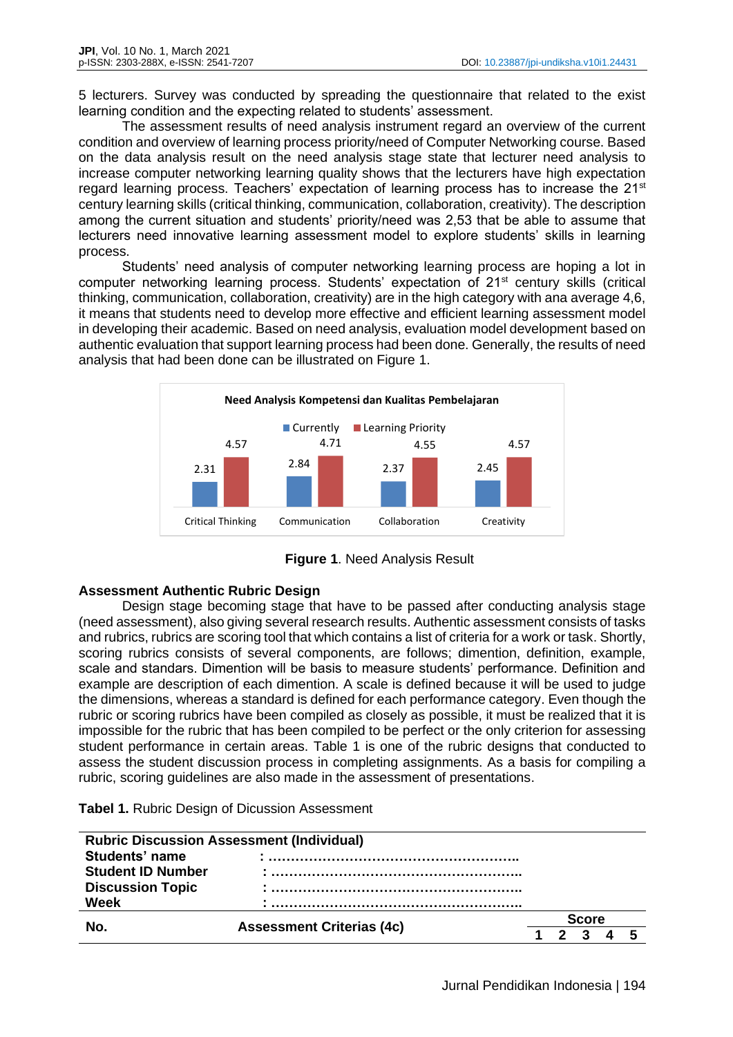5 lecturers. Survey was conducted by spreading the questionnaire that related to the exist learning condition and the expecting related to students' assessment.

The assessment results of need analysis instrument regard an overview of the current condition and overview of learning process priority/need of Computer Networking course. Based on the data analysis result on the need analysis stage state that lecturer need analysis to increase computer networking learning quality shows that the lecturers have high expectation regard learning process. Teachers' expectation of learning process has to increase the  $21<sup>st</sup>$ century learning skills (critical thinking, communication, collaboration, creativity). The description among the current situation and students' priority/need was 2,53 that be able to assume that lecturers need innovative learning assessment model to explore students' skills in learning process.

Students' need analysis of computer networking learning process are hoping a lot in computer networking learning process. Students' expectation of 21<sup>st</sup> century skills (critical thinking, communication, collaboration, creativity) are in the high category with ana average 4,6, it means that students need to develop more effective and efficient learning assessment model in developing their academic. Based on need analysis, evaluation model development based on authentic evaluation that support learning process had been done. Generally, the results of need analysis that had been done can be illustrated on Figure 1.



**Figure 1**. Need Analysis Result

# **Assessment Authentic Rubric Design**

Design stage becoming stage that have to be passed after conducting analysis stage (need assessment), also giving several research results. Authentic assessment consists of tasks and rubrics, rubrics are scoring tool that which contains a list of criteria for a work or task. Shortly, scoring rubrics consists of several components, are follows; dimention, definition, example, scale and standars. Dimention will be basis to measure students' performance. Definition and example are description of each dimention. A scale is defined because it will be used to judge the dimensions, whereas a standard is defined for each performance category. Even though the rubric or scoring rubrics have been compiled as closely as possible, it must be realized that it is impossible for the rubric that has been compiled to be perfect or the only criterion for assessing student performance in certain areas. Table 1 is one of the rubric designs that conducted to assess the student discussion process in completing assignments. As a basis for compiling a rubric, scoring guidelines are also made in the assessment of presentations.

**Tabel 1.** Rubric Design of Dicussion Assessment

| <b>Rubric Discussion Assessment (Individual)</b> |                                  |  |  |       |  |  |  |
|--------------------------------------------------|----------------------------------|--|--|-------|--|--|--|
| Students' name                                   |                                  |  |  |       |  |  |  |
| <b>Student ID Number</b>                         |                                  |  |  |       |  |  |  |
| <b>Discussion Topic</b>                          |                                  |  |  |       |  |  |  |
| Week                                             |                                  |  |  |       |  |  |  |
| Nο                                               |                                  |  |  | Score |  |  |  |
|                                                  | <b>Assessment Criterias (4c)</b> |  |  |       |  |  |  |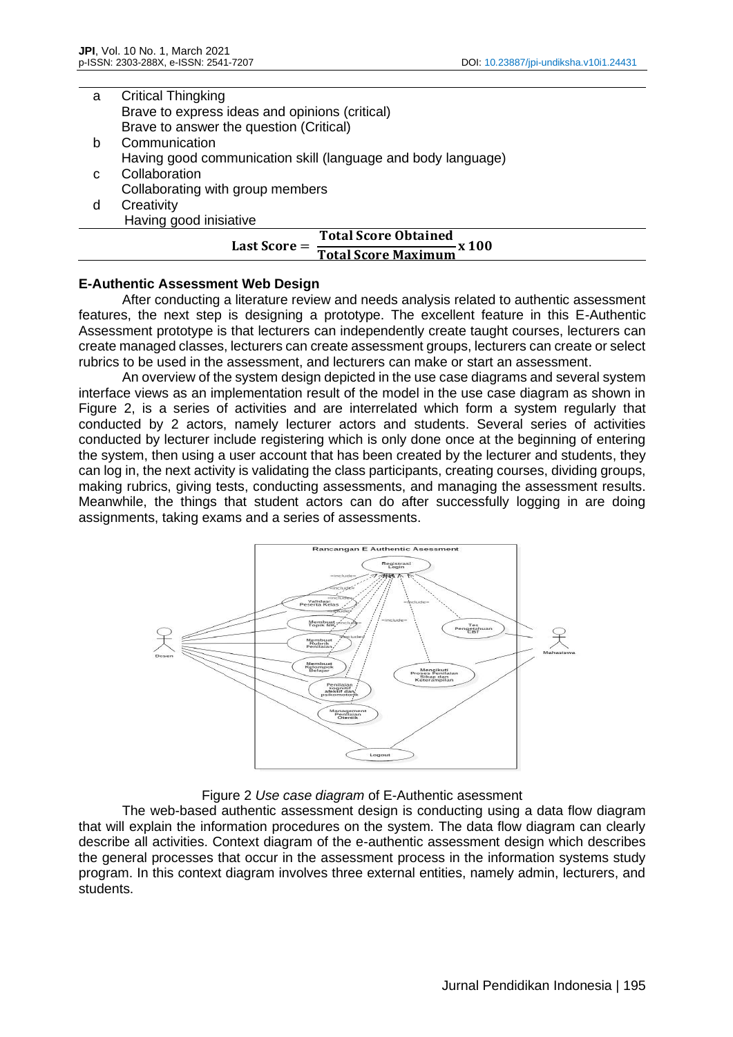| a  | <b>Critical Thingking</b>                                             |
|----|-----------------------------------------------------------------------|
|    | Brave to express ideas and opinions (critical)                        |
|    | Brave to answer the question (Critical)                               |
| b  | Communication                                                         |
|    | Having good communication skill (language and body language)          |
| C. | Collaboration                                                         |
|    | Collaborating with group members                                      |
| d  | Creativity                                                            |
|    | Having good inisiative                                                |
|    | <b>Total Score Obtained</b>                                           |
|    | Last Score $=$ $\frac{\ }{}$<br>— x 100<br><b>Total Score Maximum</b> |

## **E-Authentic Assessment Web Design**

After conducting a literature review and needs analysis related to authentic assessment features, the next step is designing a prototype. The excellent feature in this E-Authentic Assessment prototype is that lecturers can independently create taught courses, lecturers can create managed classes, lecturers can create assessment groups, lecturers can create or select rubrics to be used in the assessment, and lecturers can make or start an assessment.

An overview of the system design depicted in the use case diagrams and several system interface views as an implementation result of the model in the use case diagram as shown in Figure 2, is a series of activities and are interrelated which form a system regularly that conducted by 2 actors, namely lecturer actors and students. Several series of activities conducted by lecturer include registering which is only done once at the beginning of entering the system, then using a user account that has been created by the lecturer and students, they can log in, the next activity is validating the class participants, creating courses, dividing groups, making rubrics, giving tests, conducting assessments, and managing the assessment results. Meanwhile, the things that student actors can do after successfully logging in are doing assignments, taking exams and a series of assessments.



Figure 2 *Use case diagram* of E-Authentic asessment

The web-based authentic assessment design is conducting using a data flow diagram that will explain the information procedures on the system. The data flow diagram can clearly describe all activities. Context diagram of the e-authentic assessment design which describes the general processes that occur in the assessment process in the information systems study program. In this context diagram involves three external entities, namely admin, lecturers, and students.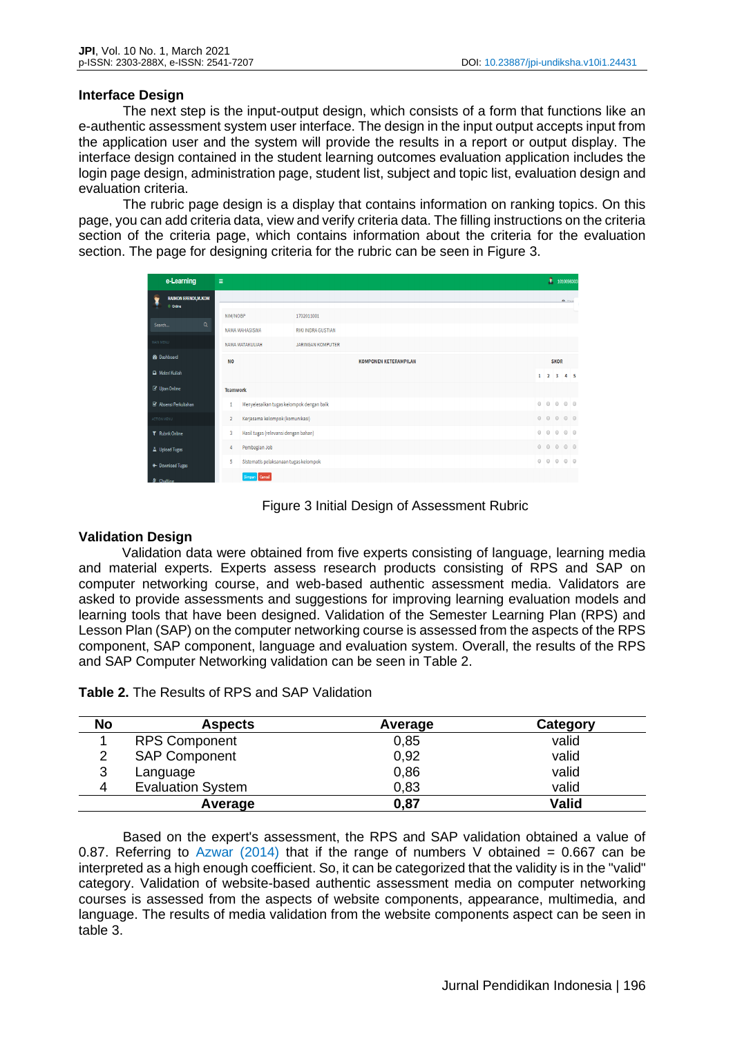## **Interface Design**

The next step is the input-output design, which consists of a form that functions like an e-authentic assessment system user interface. The design in the input output accepts input from the application user and the system will provide the results in a report or output display. The interface design contained in the student learning outcomes evaluation application includes the login page design, administration page, student list, subject and topic list, evaluation design and evaluation criteria.

The rubric page design is a display that contains information on ranking topics. On this page, you can add criteria data, view and verify criteria data. The filling instructions on the criteria section of the criteria page, which contains information about the criteria for the evaluation section. The page for designing criteria for the rubric can be seen in Figure 3.

| e-Learning                                 | Ξ               |                                          |                              |  | 2                   |             | 1010098303               |  |
|--------------------------------------------|-----------------|------------------------------------------|------------------------------|--|---------------------|-------------|--------------------------|--|
| ŧ<br><b>RAIMON EFENDI, M.KOM</b><br>Online |                 |                                          |                              |  |                     |             | $\mathfrak{g}_{k-1,k+1}$ |  |
|                                            | NIM/NOBP        |                                          | 1702011001                   |  |                     |             |                          |  |
| $\alpha$<br>Search                         | NAMA MAHASISWA  |                                          | RIKI INDRA GUSTIAN           |  |                     |             |                          |  |
| MAIN MENU                                  |                 | NAMA MATAKULIAH                          | <b>JARINGAN KOMPUTER</b>     |  |                     |             |                          |  |
| <b>8</b> Dashboard<br><b>NO</b>            |                 |                                          | <b>KOMPONEN KETERAMPILAN</b> |  |                     | <b>SKOR</b> |                          |  |
| Materi Kuliah                              |                 |                                          |                              |  | $1 \quad 2 \quad 3$ |             | 4 <sub>5</sub>           |  |
| <b><i>C</i></b> Ujian Online               | <b>Teamwork</b> |                                          |                              |  |                     |             |                          |  |
| ■ Absensi Perkuliahan                      | 1               | Menyelesaikan tugas kelompok dengan baik |                              |  | $\circ$ $\circ$     | $\circ$     | 00                       |  |
| ACTION MENU                                | $\overline{2}$  | Kerjasama kelompok (komunikasi)          |                              |  | 000                 |             | $\circ$ $\circ$          |  |
| <b>T</b> Rubrik Online                     | 3               | Hasil tugas (relevansi dengan bahan)     |                              |  | $\circ$             | $\circ$     | 00                       |  |
| A Upload Tugas                             | 4               | Pembagian Job                            |                              |  | $\circ$ $\circ$     | $\circ$     | 00                       |  |
| ← Download Tugas                           | 5               | Sistematis pelaksanaan tugas kelompok    |                              |  | 0000                |             | 00                       |  |
| S Chatting                                 |                 | Cancel<br>Simpan                         |                              |  |                     |             |                          |  |



# **Validation Design**

Validation data were obtained from five experts consisting of language, learning media and material experts. Experts assess research products consisting of RPS and SAP on computer networking course, and web-based authentic assessment media. Validators are asked to provide assessments and suggestions for improving learning evaluation models and learning tools that have been designed. Validation of the Semester Learning Plan (RPS) and Lesson Plan (SAP) on the computer networking course is assessed from the aspects of the RPS component, SAP component, language and evaluation system. Overall, the results of the RPS and SAP Computer Networking validation can be seen in Table 2.

| No | <b>Aspects</b>           | Average | Category     |
|----|--------------------------|---------|--------------|
|    | <b>RPS Component</b>     | 0,85    | valid        |
| າ  | <b>SAP Component</b>     | 0,92    | valid        |
| 3  | Language                 | 0,86    | valid        |
| 4  | <b>Evaluation System</b> | 0,83    | valid        |
|    | Average                  | 0,87    | <b>Valid</b> |

Based on the expert's assessment, the RPS and SAP validation obtained a value of 0.87. Referring to Azwar (2014) that if the range of numbers V obtained = 0.667 can be interpreted as a high enough coefficient. So, it can be categorized that the validity is in the "valid" category. Validation of website-based authentic assessment media on computer networking courses is assessed from the aspects of website components, appearance, multimedia, and language. The results of media validation from the website components aspect can be seen in table 3.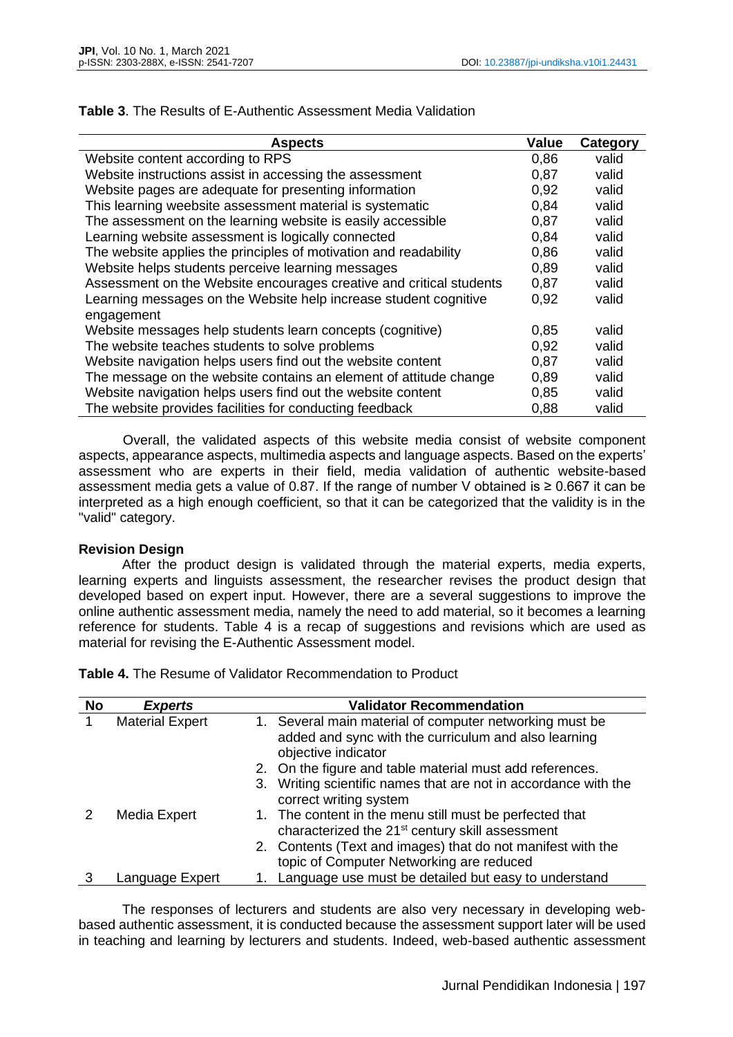| <b>Aspects</b>                                                      | <b>Value</b> | Category |
|---------------------------------------------------------------------|--------------|----------|
| Website content according to RPS                                    | 0,86         | valid    |
| Website instructions assist in accessing the assessment             | 0.87         | valid    |
| Website pages are adequate for presenting information               | 0.92         | valid    |
| This learning weebsite assessment material is systematic            | 0.84         | valid    |
| The assessment on the learning website is easily accessible         | 0.87         | valid    |
| Learning website assessment is logically connected                  | 0.84         | valid    |
| The website applies the principles of motivation and readability    | 0,86         | valid    |
| Website helps students perceive learning messages                   | 0.89         | valid    |
| Assessment on the Website encourages creative and critical students | 0.87         | valid    |
| Learning messages on the Website help increase student cognitive    | 0,92         | valid    |
| engagement                                                          |              |          |
| Website messages help students learn concepts (cognitive)           | 0.85         | valid    |
| The website teaches students to solve problems                      | 0,92         | valid    |
| Website navigation helps users find out the website content         | 0,87         | valid    |
| The message on the website contains an element of attitude change   | 0,89         | valid    |
| Website navigation helps users find out the website content         | 0,85         | valid    |
| The website provides facilities for conducting feedback             | 0,88         | valid    |

### **Table 3**. The Results of E-Authentic Assessment Media Validation

Overall, the validated aspects of this website media consist of website component aspects, appearance aspects, multimedia aspects and language aspects. Based on the experts' assessment who are experts in their field, media validation of authentic website-based assessment media gets a value of 0.87. If the range of number V obtained is  $\geq 0.667$  it can be interpreted as a high enough coefficient, so that it can be categorized that the validity is in the "valid" category.

## **Revision Design**

After the product design is validated through the material experts, media experts, learning experts and linguists assessment, the researcher revises the product design that developed based on expert input. However, there are a several suggestions to improve the online authentic assessment media, namely the need to add material, so it becomes a learning reference for students. Table 4 is a recap of suggestions and revisions which are used as material for revising the E-Authentic Assessment model.

| <b>No</b> | <b>Experts</b>         | <b>Validator Recommendation</b>                                                                                                        |
|-----------|------------------------|----------------------------------------------------------------------------------------------------------------------------------------|
|           | <b>Material Expert</b> | 1. Several main material of computer networking must be<br>added and sync with the curriculum and also learning<br>objective indicator |
|           |                        | 2. On the figure and table material must add references.                                                                               |
|           |                        | Writing scientific names that are not in accordance with the<br>3.<br>correct writing system                                           |
|           | Media Expert           | 1. The content in the menu still must be perfected that<br>characterized the 21 <sup>st</sup> century skill assessment                 |
|           |                        | 2. Contents (Text and images) that do not manifest with the                                                                            |
|           |                        | topic of Computer Networking are reduced                                                                                               |
|           | Language Expert        | 1. Language use must be detailed but easy to understand                                                                                |

**Table 4.** The Resume of Validator Recommendation to Product

The responses of lecturers and students are also very necessary in developing webbased authentic assessment, it is conducted because the assessment support later will be used in teaching and learning by lecturers and students. Indeed, web-based authentic assessment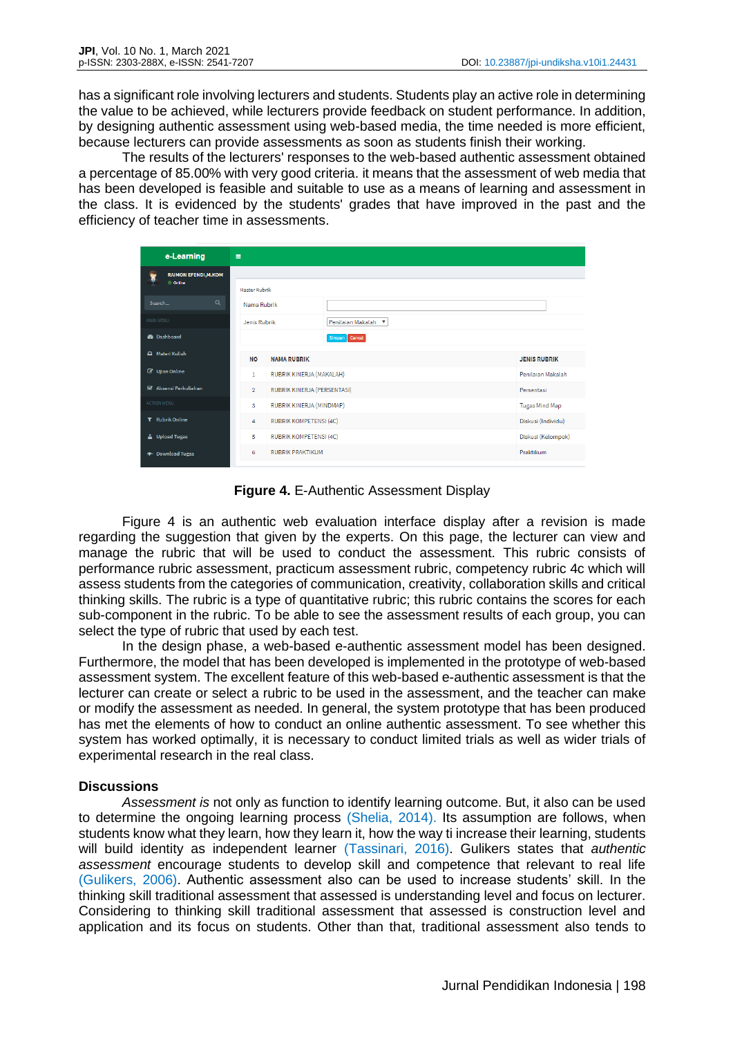has a significant role involving lecturers and students. Students play an active role in determining the value to be achieved, while lecturers provide feedback on student performance. In addition, by designing authentic assessment using web-based media, the time needed is more efficient, because lecturers can provide assessments as soon as students finish their working.

The results of the lecturers' responses to the web-based authentic assessment obtained a percentage of 85.00% with very good criteria. it means that the assessment of web media that has been developed is feasible and suitable to use as a means of learning and assessment in the class. It is evidenced by the students' grades that have improved in the past and the efficiency of teacher time in assessments.

| e-Learning                                              | $\equiv$                      |                               |                                           |                       |  |
|---------------------------------------------------------|-------------------------------|-------------------------------|-------------------------------------------|-----------------------|--|
| ŧ<br><b>RAIMON EFENDI, M.KOM</b>                        |                               |                               |                                           |                       |  |
| © Online                                                | Master Rubrik                 |                               |                                           |                       |  |
| $\alpha$<br>Search                                      | Nama Rubrik                   |                               |                                           |                       |  |
| MAIN MENU                                               | Jenis Rubrik                  | Penilaian Makalah ▼           |                                           |                       |  |
| <b>@</b> Dashboard                                      |                               |                               | Simpan Cancel                             |                       |  |
| A Materi Kuliah                                         | <b>NO</b>                     | <b>NAMA RUBRIK</b>            |                                           | <b>JENIS RUBRIK</b>   |  |
| <b>&amp;</b> Ujian Online                               | 1                             | RUBRIK KINERJA (MAKALAH)      |                                           | Penilaian Makalah     |  |
| S Absensi Perkuliahan<br>$\overline{2}$                 |                               |                               | RUBRIK KINERJA (PERSENTASI)<br>Persentasi |                       |  |
| <b>ACTION MENU</b>                                      | RUBRIK KINERJA (MINDMAP)<br>3 |                               |                                           | <b>Tugas Mind Map</b> |  |
| <b>T</b> Rubrik Online                                  | 4                             | <b>RUBRIK KOMPETENSI (4C)</b> |                                           | Diskusi (Individu)    |  |
| △ Upload Tugas                                          | 5                             | <b>RUBRIK KOMPETENSI (4C)</b> |                                           | Diskusi (Kelompok)    |  |
| <b>RUBRIK PRAKTIKUM</b><br>6<br><b>+ Download Tugas</b> |                               |                               |                                           | Praktikum             |  |

**Figure 4.** E-Authentic Assessment Display

Figure 4 is an authentic web evaluation interface display after a revision is made regarding the suggestion that given by the experts. On this page, the lecturer can view and manage the rubric that will be used to conduct the assessment. This rubric consists of performance rubric assessment, practicum assessment rubric, competency rubric 4c which will assess students from the categories of communication, creativity, collaboration skills and critical thinking skills. The rubric is a type of quantitative rubric; this rubric contains the scores for each sub-component in the rubric. To be able to see the assessment results of each group, you can select the type of rubric that used by each test.

In the design phase, a web-based e-authentic assessment model has been designed. Furthermore, the model that has been developed is implemented in the prototype of web-based assessment system. The excellent feature of this web-based e-authentic assessment is that the lecturer can create or select a rubric to be used in the assessment, and the teacher can make or modify the assessment as needed. In general, the system prototype that has been produced has met the elements of how to conduct an online authentic assessment. To see whether this system has worked optimally, it is necessary to conduct limited trials as well as wider trials of experimental research in the real class.

## **Discussions**

*Assessment is* not only as function to identify learning outcome. But, it also can be used to determine the ongoing learning process (Shelia, 2014). Its assumption are follows, when students know what they learn, how they learn it, how the way ti increase their learning, students will build identity as independent learner (Tassinari, 2016). Gulikers states that *authentic assessment* encourage students to develop skill and competence that relevant to real life (Gulikers, 2006). Authentic assessment also can be used to increase students' skill. In the thinking skill traditional assessment that assessed is understanding level and focus on lecturer. Considering to thinking skill traditional assessment that assessed is construction level and application and its focus on students. Other than that, traditional assessment also tends to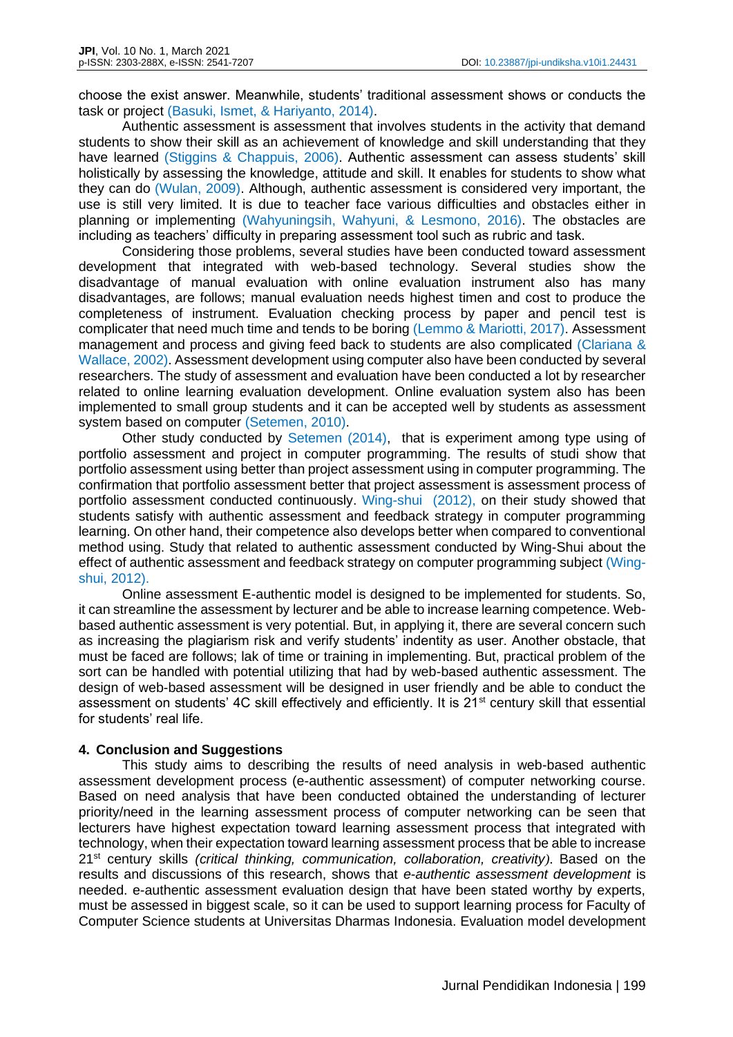choose the exist answer. Meanwhile, students' traditional assessment shows or conducts the task or project (Basuki, Ismet, & Hariyanto, 2014).

Authentic assessment is assessment that involves students in the activity that demand students to show their skill as an achievement of knowledge and skill understanding that they have learned (Stiggins & Chappuis, 2006). Authentic assessment can assess students' skill holistically by assessing the knowledge, attitude and skill. It enables for students to show what they can do (Wulan, 2009). Although, authentic assessment is considered very important, the use is still very limited. It is due to teacher face various difficulties and obstacles either in planning or implementing (Wahyuningsih, Wahyuni, & Lesmono, 2016). The obstacles are including as teachers' difficulty in preparing assessment tool such as rubric and task.

Considering those problems, several studies have been conducted toward assessment development that integrated with web-based technology. Several studies show the disadvantage of manual evaluation with online evaluation instrument also has many disadvantages, are follows; manual evaluation needs highest timen and cost to produce the completeness of instrument. Evaluation checking process by paper and pencil test is complicater that need much time and tends to be boring (Lemmo & Mariotti, 2017). Assessment management and process and giving feed back to students are also complicated (Clariana & Wallace, 2002). Assessment development using computer also have been conducted by several researchers. The study of assessment and evaluation have been conducted a lot by researcher related to online learning evaluation development. Online evaluation system also has been implemented to small group students and it can be accepted well by students as assessment system based on computer (Setemen, 2010).

Other study conducted by Setemen (2014), that is experiment among type using of portfolio assessment and project in computer programming. The results of studi show that portfolio assessment using better than project assessment using in computer programming. The confirmation that portfolio assessment better that project assessment is assessment process of portfolio assessment conducted continuously. Wing-shui (2012), on their study showed that students satisfy with authentic assessment and feedback strategy in computer programming learning. On other hand, their competence also develops better when compared to conventional method using. Study that related to authentic assessment conducted by Wing-Shui about the effect of authentic assessment and feedback strategy on computer programming subject (Wingshui, 2012).

Online assessment E-authentic model is designed to be implemented for students. So, it can streamline the assessment by lecturer and be able to increase learning competence. Webbased authentic assessment is very potential. But, in applying it, there are several concern such as increasing the plagiarism risk and verify students' indentity as user. Another obstacle, that must be faced are follows; lak of time or training in implementing. But, practical problem of the sort can be handled with potential utilizing that had by web-based authentic assessment. The design of web-based assessment will be designed in user friendly and be able to conduct the assessment on students' 4C skill effectively and efficiently. It is 21<sup>st</sup> century skill that essential for students' real life.

## **4. Conclusion and Suggestions**

This study aims to describing the results of need analysis in web-based authentic assessment development process (e-authentic assessment) of computer networking course. Based on need analysis that have been conducted obtained the understanding of lecturer priority/need in the learning assessment process of computer networking can be seen that lecturers have highest expectation toward learning assessment process that integrated with technology, when their expectation toward learning assessment process that be able to increase 21st century skills *(critical thinking, communication, collaboration, creativity)*. Based on the results and discussions of this research, shows that *e-authentic assessment development* is needed. e-authentic assessment evaluation design that have been stated worthy by experts, must be assessed in biggest scale, so it can be used to support learning process for Faculty of Computer Science students at Universitas Dharmas Indonesia. Evaluation model development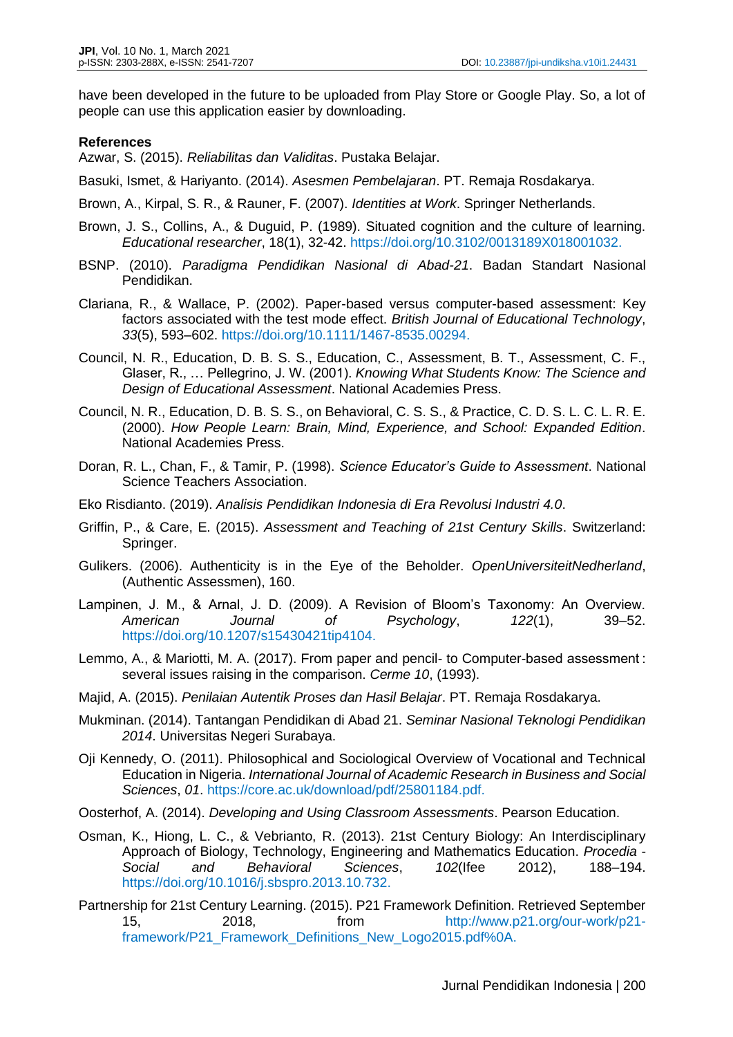have been developed in the future to be uploaded from Play Store or Google Play. So, a lot of people can use this application easier by downloading.

### **References**

Azwar, S. (2015). *Reliabilitas dan Validitas*. Pustaka Belajar.

Basuki, Ismet, & Hariyanto. (2014). *Asesmen Pembelajaran*. PT. Remaja Rosdakarya.

Brown, A., Kirpal, S. R., & Rauner, F. (2007). *Identities at Work*. Springer Netherlands.

- Brown, J. S., Collins, A., & Duguid, P. (1989). Situated cognition and the culture of learning. *Educational researcher*, 18(1), 32-42. https://doi.org/10.3102/0013189X018001032.
- BSNP. (2010). *Paradigma Pendidikan Nasional di Abad-21*. Badan Standart Nasional Pendidikan.
- Clariana, R., & Wallace, P. (2002). Paper-based versus computer-based assessment: Key factors associated with the test mode effect. *British Journal of Educational Technology*, *33*(5), 593–602. https://doi.org/10.1111/1467-8535.00294.
- Council, N. R., Education, D. B. S. S., Education, C., Assessment, B. T., Assessment, C. F., Glaser, R., … Pellegrino, J. W. (2001). *Knowing What Students Know: The Science and Design of Educational Assessment*. National Academies Press.
- Council, N. R., Education, D. B. S. S., on Behavioral, C. S. S., & Practice, C. D. S. L. C. L. R. E. (2000). *How People Learn: Brain, Mind, Experience, and School: Expanded Edition*. National Academies Press.
- Doran, R. L., Chan, F., & Tamir, P. (1998). *Science Educator's Guide to Assessment*. National Science Teachers Association.
- Eko Risdianto. (2019). *Analisis Pendidikan Indonesia di Era Revolusi Industri 4.0*.
- Griffin, P., & Care, E. (2015). *Assessment and Teaching of 21st Century Skills*. Switzerland: Springer.
- Gulikers. (2006). Authenticity is in the Eye of the Beholder. *OpenUniversiteitNedherland*, (Authentic Assessmen), 160.
- Lampinen, J. M., & Arnal, J. D. (2009). A Revision of Bloom's Taxonomy: An Overview. *American Journal of Psychology*, *122*(1), 39–52. https://doi.org/10.1207/s15430421tip4104.
- Lemmo, A., & Mariotti, M. A. (2017). From paper and pencil- to Computer-based assessment : several issues raising in the comparison. *Cerme 10*, (1993).
- Majid, A. (2015). *Penilaian Autentik Proses dan Hasil Belajar*. PT. Remaja Rosdakarya.
- Mukminan. (2014). Tantangan Pendidikan di Abad 21. *Seminar Nasional Teknologi Pendidikan 2014*. Universitas Negeri Surabaya.
- Oji Kennedy, O. (2011). Philosophical and Sociological Overview of Vocational and Technical Education in Nigeria. *International Journal of Academic Research in Business and Social Sciences*, *01*. https://core.ac.uk/download/pdf/25801184.pdf.
- Oosterhof, A. (2014). *Developing and Using Classroom Assessments*. Pearson Education.
- Osman, K., Hiong, L. C., & Vebrianto, R. (2013). 21st Century Biology: An Interdisciplinary Approach of Biology, Technology, Engineering and Mathematics Education. *Procedia - Social and Behavioral Sciences*, *102*(Ifee 2012), 188–194. https://doi.org/10.1016/j.sbspro.2013.10.732.
- Partnership for 21st Century Learning. (2015). P21 Framework Definition. Retrieved September 15, 2018, from http://www.p21.org/our-work/p21 framework/P21\_Framework\_Definitions\_New\_Logo2015.pdf%0A.